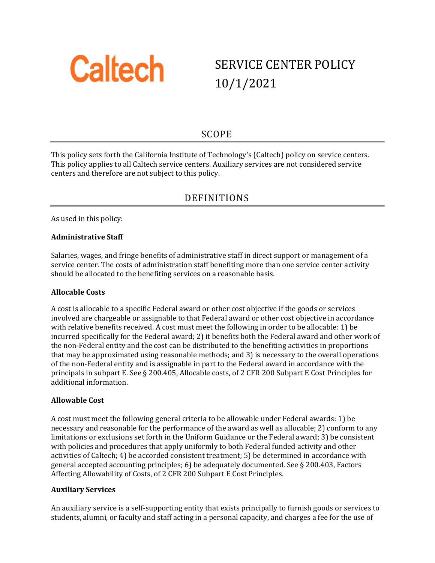

# SERVICE CENTER POLICY 10/1/2021

### SCOPE

This policy sets forth the California Institute of Technology's (Caltech) policy on service centers. This policy applies to all Caltech service centers. Auxiliary services are not considered service centers and therefore are not subject to this policy.

### DEFINITIONS

As used in this policy:

#### **Administrative Staff**

Salaries, wages, and fringe benefits of administrative staff in direct support or management of a service center. The costs of administration staff benefiting more than one service center activity should be allocated to the benefiting services on a reasonable basis.

#### **Allocable Costs**

A cost is allocable to a specific Federal award or other cost objective if the goods or services involved are chargeable or assignable to that Federal award or other cost objective in accordance with relative benefits received. A cost must meet the following in order to be allocable: 1) be incurred specifically for the Federal award; 2) it benefits both the Federal award and other work of the non-Federal entity and the cost can be distributed to the benefiting activities in proportions that may be approximated using reasonable methods; and 3) is necessary to the overall operations of the non-Federal entity and is assignable in part to the Federal award in accordance with the principals in subpart E. See § 200.405, Allocable costs, of 2 CFR 200 Subpart E Cost Principles for additional information.

#### **Allowable Cost**

A cost must meet the following general criteria to be allowable under Federal awards: 1) be necessary and reasonable for the performance of the award as well as allocable; 2) conform to any limitations or exclusions set forth in the Uniform Guidance or the Federal award; 3) be consistent with policies and procedures that apply uniformly to both Federal funded activity and other activities of Caltech; 4) be accorded consistent treatment; 5) be determined in accordance with general accepted accounting principles; 6) be adequately documented. See § 200.403, Factors Affecting Allowability of Costs, of 2 CFR 200 Subpart E Cost Principles.

#### **Auxiliary Services**

An auxiliary service is a self-supporting entity that exists principally to furnish goods or services to students, alumni, or faculty and staff acting in a personal capacity, and charges a fee for the use of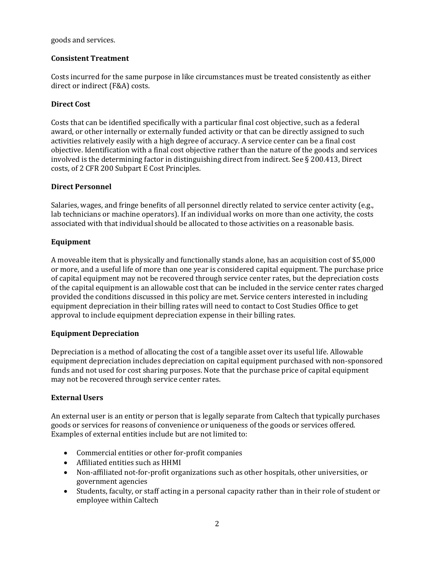goods and services.

#### **Consistent Treatment**

Costs incurred for the same purpose in like circumstances must be treated consistently as either direct or indirect (F&A) costs.

#### **Direct Cost**

Costs that can be identified specifically with a particular final cost objective, such as a federal award, or other internally or externally funded activity or that can be directly assigned to such activities relatively easily with a high degree of accuracy. A service center can be a final cost objective. Identification with a final cost objective rather than the nature of the goods and services involved is the determining factor in distinguishing direct from indirect. See § 200.413, Direct costs, of 2 CFR 200 Subpart E Cost Principles.

#### **Direct Personnel**

Salaries, wages, and fringe benefits of all personnel directly related to service center activity (e.g., lab technicians or machine operators). If an individual works on more than one activity, the costs associated with that individual should be allocated to those activities on a reasonable basis.

#### **Equipment**

A moveable item that is physically and functionally stands alone, has an acquisition cost of \$5,000 or more, and a useful life of more than one year is considered capital equipment. The purchase price of capital equipment may not be recovered through service center rates, but the depreciation costs of the capital equipment is an allowable cost that can be included in the service center rates charged provided the conditions discussed in this policy are met. Service centers interested in including equipment depreciation in their billing rates will need to contact to Cost Studies Office to get approval to include equipment depreciation expense in their billing rates.

#### **Equipment Depreciation**

Depreciation is a method of allocating the cost of a tangible asset over its useful life. Allowable equipment depreciation includes depreciation on capital equipment purchased with non-sponsored funds and not used for cost sharing purposes. Note that the purchase price of capital equipment may not be recovered through service center rates.

#### **External Users**

An external user is an entity or person that is legally separate from Caltech that typically purchases goods or services for reasons of convenience or uniqueness of the goods or services offered. Examples of external entities include but are not limited to:

- Commercial entities or other for-profit companies
- Affiliated entities such as HHMI
- Non-affiliated not-for-profit organizations such as other hospitals, other universities, or government agencies
- Students, faculty, or staff acting in a personal capacity rather than in their role of student or employee within Caltech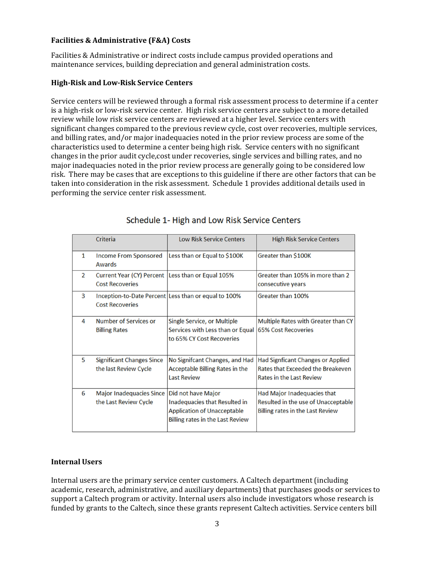#### **Facilities & Administrative (F&A) Costs**

Facilities & Administrative or indirect costs include campus provided operations and maintenance services, building depreciation and general administration costs.

#### **High‐Risk and Low‐Risk Service Centers**

Service centers will be reviewed through a formal risk assessment process to determine if a center is a high- risk or low-risk service center. High risk service centers are subject to a more detailed review while low risk service centers are reviewed at a higher level. Service centers with significant changes compared to the previous review cycle, cost over recoveries, multiple services, and billing rates, and/or major inadequacies noted in the prior review process are some of the characteristics used to determine a center being high risk. Service centers with no significant changes in the prior audit cycle, cost under recoveries, single services and billing rates, and no major inadequacies noted in the prior review process are generally going to be considered low risk. There may be cases that are exceptions to this guideline if there are other factors that can be taken into consideration in the risk assessment. Schedule 1 provides additional details used in performing the service center risk assessment.

|  |              | Criteria                                                                    | <b>Low Risk Service Centers</b>                                                                                                      | <b>High Risk Service Centers</b>                                                                                 |
|--|--------------|-----------------------------------------------------------------------------|--------------------------------------------------------------------------------------------------------------------------------------|------------------------------------------------------------------------------------------------------------------|
|  | $\mathbf{1}$ | <b>Income From Sponsored</b><br>Awards                                      | Less than or Equal to \$100K                                                                                                         | Greater than \$100K                                                                                              |
|  | 2            | Current Year (CY) Percent Less than or Equal 105%<br><b>Cost Recoveries</b> |                                                                                                                                      | Greater than 105% in more than 2<br>consecutive years                                                            |
|  | 3            | <b>Cost Recoveries</b>                                                      | Inception-to-Date Percent Less than or equal to 100%                                                                                 | Greater than 100%                                                                                                |
|  | 4            | Number of Services or<br><b>Billing Rates</b>                               | Single Service, or Multiple<br>Services with Less than or Equal 65% Cost Recoveries<br>to 65% CY Cost Recoveries                     | Multiple Rates with Greater than CY                                                                              |
|  | 5            | <b>Significant Changes Since</b><br>the last Review Cycle                   | No Signifcant Changes, and Had<br>Acceptable Billing Rates in the<br><b>Last Review</b>                                              | <b>Had Signficant Changes or Applied</b><br>Rates that Exceeded the Breakeven<br><b>Rates in the Last Review</b> |
|  | 6            | <b>Major Inadequacies Since</b><br>the Last Review Cycle                    | Did not have Major<br>Inadequacies that Resulted in<br><b>Application of Unacceptable</b><br><b>Billing rates in the Last Review</b> | Had Major Inadequacies that<br>Resulted in the use of Unacceptable<br><b>Billing rates in the Last Review</b>    |

#### Schedule 1- High and Low Risk Service Centers

#### **Internal Users**

Internal users are the primary service center customers. A Caltech department (including academic, research, administrative, and auxiliary departments) that purchases goods or services to support a Caltech program or activity. Internal users also include investigators whose research is funded by grants to the Caltech, since these grants represent Caltech activities. Service centers bill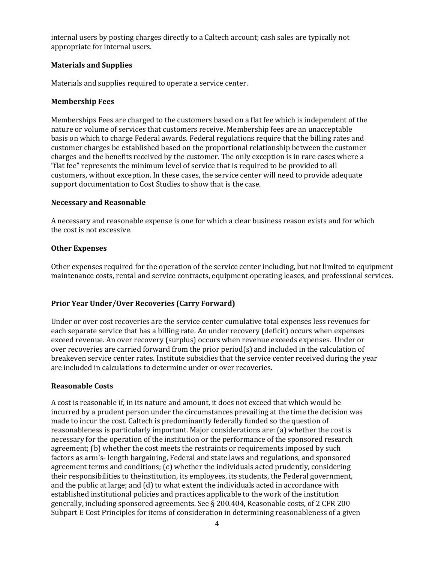internal users by posting charges directly to a Caltech account; cash sales are typically not appropriate for internal users.

#### **Materials and Supplies**

Materials and supplies required to operate a service center.

#### **Membership Fees**

Memberships Fees are charged to the customers based on a flat fee which is independent of the nature or volume of services that customers receive. Membership fees are an unacceptable basis on which to charge Federal awards. Federal regulations require that the billing rates and customer charges be established based on the proportional relationship between the customer charges and the benefits received by the customer. The only exception is in rare cases where a "flat fee" represents the minimum level of service that is required to be provided to all customers, without exception. In these cases, the service center will need to provide adequate support documentation to Cost Studies to show that is the case.

#### **Necessary and Reasonable**

A necessary and reasonable expense is one for which a clear business reason exists and for which the cost is not excessive.

#### **Other Expenses**

Other expenses required for the operation of the service center including, but not limited to equipment maintenance costs, rental and service contracts, equipment operating leases, and professional services.

#### **Prior Year Under/Over Recoveries (Carry Forward)**

Under or over cost recoveries are the service center cumulative total expenses less revenues for each separate service that has a billing rate. An under recovery (deficit) occurs when expenses exceed revenue. An over recovery (surplus) occurs when revenue exceeds expenses. Under or over recoveries are carried forward from the prior period(s) and included in the calculation of breakeven service center rates. Institute subsidies that the service center received during the year are included in calculations to determine under or over recoveries.

#### **Reasonable Costs**

A cost is reasonable if, in its nature and amount, it does not exceed that which would be incurred by a prudent person under the circumstances prevailing at the time the decision was made to incur the cost. Caltech is predominantly federally funded so the question of reasonableness is particularly important. Major considerations are: (a) whether the cost is necessary for the operation of the institution or the performance of the sponsored research agreement; (b) whether the cost meets the restraints or requirements imposed by such factors as arm's- length bargaining, Federal and state laws and regulations, and sponsored agreement terms and conditions; (c) whether the individuals acted prudently, considering their responsibilities to the institution, its employees, its students, the Federal government, and the public at large; and (d) to what extent the individuals acted in accordance with established institutional policies and practices applicable to the work of the institution generally, including sponsored agreements. See § 200.404, Reasonable costs, of 2 CFR 200 Subpart E Cost Principles for items of consideration in determining reasonableness of a given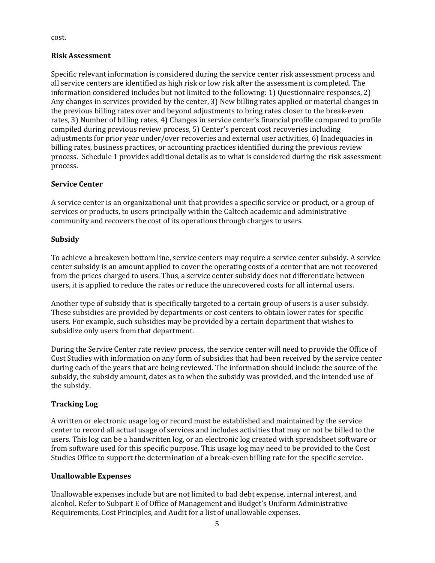cost.

#### **Risk Assessment**

Specific relevant information is considered during the service center risk assessment process and all service centers are identified as high risk or low risk after the assessment is completed. The information considered includes but not limited to the following: 1) Questionnaire responses, 2) Any changes in services provided by the center, 3) New billing rates applied or material changes in the previous billing rates over and beyond adjustments to bring rates closer to the break-even rates, 3) Number of billing rates, 4) Changes in service center's financial profile compared to profile compiled during previous review process, 5) Center's percent cost recoveries including adjustments for prior year under/over recoveries and external user activities, 6) Inadequacies in billing rates, business practices, or accounting practices identified during the previous review process. Schedule 1 provides additional details as to what is considered during the risk assessment process.

#### **Service Center**

A service center is an organizational unit that provides a specific service or product, or a group of services or products, to users principally within the Caltech academic and administrative community and recovers the cost of its operations through charges to users.

#### **Subsidy**

To achieve a breakeven bottom line, service centers may require a service center subsidy. A service center subsidy is an amount applied to cover the operating costs of a center that are not recovered from the prices charged to users. Thus, a service center subsidy does not differentiate between users, it is applied to reduce the rates or reduce the unrecovered costs for all internal users.

Another type of subsidy that is specifically targeted to a certain group of users is a user subsidy. These subsidies are provided by departments or cost centers to obtain lower rates for specific users. For example, such subsidies may be provided by a certain department that wishes to subsidize only users from that department.

During the Service Center rate review process, the service center will need to provide the Office of Cost Studies with information on any form of subsidies that had been received by the service center during each of the years that are being reviewed. The information should include the source of the subsidy, the subsidy amount, dates as to when the subsidy was provided, and the intended use of the subsidy.

#### **Tracking Log**

A written or electronic usage log or record must be established and maintained by the service center to record all actual usage of services and includes activities that may or not be billed to the users. This log can be a handwritten log, or an electronic log created with spreadsheet software or from software used for this specific purpose. This usage log may need to be provided to the Cost Studies Office to support the determination of a break-even billing rate for the specific service.

#### **Unallowable Expenses**

Unallowable expenses include but are not limited to bad debt expense, internal interest, and alcohol. Refer to Subpart E of Office of Management and Budget's Uniform Administrative Requirements, Cost Principles, and Audit for a list of unallowable expenses.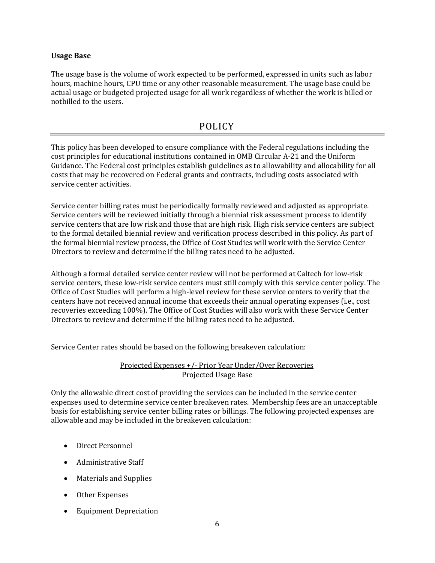#### **Usage Base**

The usage base is the volume of work expected to be performed, expressed in units such as labor hours, machine hours, CPU time or any other reasonable measurement. The usage base could be actual usage or budgeted projected usage for all work regardless of whether the work is billed or not billed to the users.

### POLICY

This policy has been developed to ensure compliance with the Federal regulations including the cost principles for educational institutions contained in OMB Circular A-21 and the Uniform Guidance. The Federal cost principles establish guidelines as to allowability and allocability for all costs that may be recovered on Federal grants and contracts, including costs associated with service center activities.

Service center billing rates must be periodically formally reviewed and adjusted as appropriate. Service centers will be reviewed initially through a biennial risk assessment process to identify service centers that are low risk and those that are high risk. High risk service centers are subject to the formal detailed biennial review and verification process described in this policy. As part of the formal biennial review process, the Office of Cost Studies will work with the Service Center Directors to review and determine if the billing rates need to be adjusted.

Although a formal detailed service center review will not be performed at Caltech for low-risk service centers, these low-risk service centers must still comply with this service center policy. The Office of Cost Studies will perform a high-level review for these service centers to verify that the centers have not received annual income that exceeds their annual operating expenses (i.e., cost recoveries exceeding 100%). The Office of Cost Studies will also work with these Service Center Directors to review and determine if the billing rates need to be adjusted.

Service Center rates should be based on the following breakeven calculation:

#### Projected Expenses +/- Prior Year Under/Over Recoveries Projected Usage Base

Only the allowable direct cost of providing the services can be included in the service center expenses used to determine service center breakeven rates. Membership fees are an unacceptable basis for establishing service center billing rates or billings. The following projected expenses are allowable and may be included in the breakeven calculation:

- Direct Personnel
- Administrative Staff
- Materials and Supplies
- Other Expenses
- Equipment Depreciation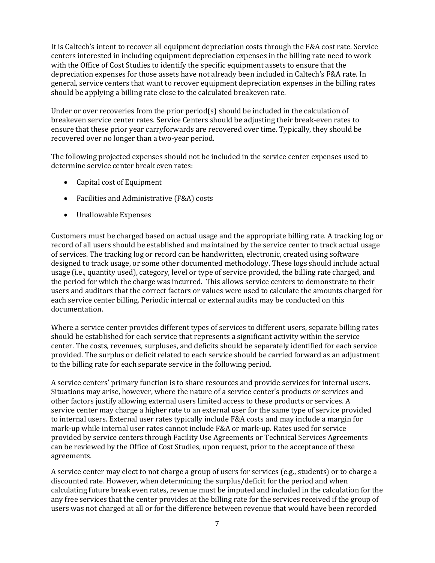It is Caltech's intent to recover all equipment depreciation costs through the F&A cost rate. Service centers interested in including equipment depreciation expenses in the billing rate need to work with the Office of Cost Studies to identify the specific equipment assets to ensure that the depreciation expenses for those assets have not already been included in Caltech's F&A rate. In general, service centers that want to recover equipment depreciation expenses in the billing rates should be applying a billing rate close to the calculated breakeven rate.

Under or over recoveries from the prior period(s) should be included in the calculation of breakeven service center rates. Service Centers should be adjusting their break-even rates to ensure that these prior year carryforwards are recovered over time. Typically, they should be recovered over no longer than a two-year period.

The following projected expenses should not be included in the service center expenses used to determine service center break even rates:

- Capital cost of Equipment
- Facilities and Administrative (F&A) costs
- Unallowable Expenses

Customers must be charged based on actual usage and the appropriate billing rate. A tracking log or record of all users should be established and maintained by the service center to track actual usage of services. The tracking log or record can be handwritten, electronic, created using software designed to track usage, or some other documented methodology. These logs should include actual usage (i.e., quantity used), category, level or type of service provided, the billing rate charged, and the period for which the charge was incurred. This allows service centers to demonstrate to their users and auditors that the correct factors or values were used to calculate the amounts charged for each service center billing. Periodic internal or external audits may be conducted on this documentation.

Where a service center provides different types of services to different users, separate billing rates should be established for each service that represents a significant activity within the service center. The costs, revenues, surpluses, and deficits should be separately identified for each service provided. The surplus or deficit related to each service should be carried forward as an adjustment to the billing rate for each separate service in the following period.

A service centers' primary function is to share resources and provide services for internal users. Situations may arise, however, where the nature of a service center's products or services and other factors justify allowing external users limited access to these products or services. A service center may charge a higher rate to an external user for the same type of service provided to internal users. External user rates typically include F&A costs and may include a margin for mark-up while internal user rates cannot include F&A or mark-up. Rates used for service provided by service centers through Facility Use Agreements or Technical Services Agreements can be reviewed by the Office of Cost Studies, upon request, prior to the acceptance of these agreements.

A service center may elect to not charge a group of users for services (e.g., students) or to charge a discounted rate. However, when determining the surplus/deficit for the period and when calculating future break even rates, revenue must be imputed and included in the calculation for the any free services that the center provides at the billing rate for the services received if the group of users was not charged at all or for the difference between revenue that would have been recorded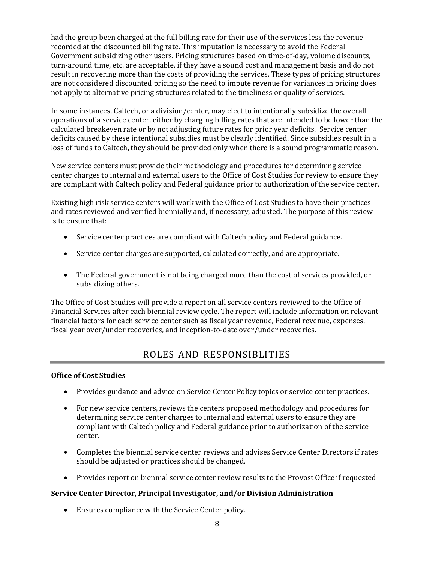had the group been charged at the full billing rate for their use of the services less the revenue recorded at the discounted billing rate. This imputation is necessary to avoid the Federal Government subsidizing other users. Pricing structures based on time-of-day, volume discounts, turn-around time, etc. are acceptable, if they have a sound cost and management basis and do not result in recovering more than the costs of providing the services. These types of pricing structures are not considered discounted pricing so the need to impute revenue for variances in pricing does not apply to alternative pricing structures related to the timeliness or quality of services.

In some instances, Caltech, or a division/center, may elect to intentionally subsidize the overall operations of a service center, either by charging billing rates that are intended to be lower than the calculated breakeven rate or by not adjusting future rates for prior year deficits. Service center deficits caused by these intentional subsidies must be clearly identified. Since subsidies result in a loss of funds to Caltech, they should be provided only when there is a sound programmatic reason.

New service centers must provide their methodology and procedures for determining service center charges to internal and external users to the Office of Cost Studies for review to ensure they are compliant with Caltech policy and Federal guidance prior to authorization of the service center.

Existing high risk service centers will work with the Office of Cost Studies to have their practices and rates reviewed and verified biennially and, if necessary, adjusted. The purpose of this review is to ensure that:

- Service center practices are compliant with Caltech policy and Federal guidance.
- Service center charges are supported, calculated correctly, and are appropriate.
- The Federal government is not being charged more than the cost of services provided, or subsidizing others.

The Office of Cost Studies will provide a report on all service centers reviewed to the Office of Financial Services after each biennial review cycle. The report will include information on relevant financial factors for each service center such as fiscal year revenue, Federal revenue, expenses, fiscal year over/under recoveries, and inception-to-date over/under recoveries.

### ROLES AND RESPONSIBLITIES

#### **Office of Cost Studies**

- Provides guidance and advice on Service Center Policy topics or service center practices.
- For new service centers, reviews the centers proposed methodology and procedures for determining service center charges to internal and external users to ensure they are compliant with Caltech policy and Federal guidance prior to authorization of the service center.
- Completes the biennial service center reviews and advises Service Center Directors if rates should be adjusted or practices should be changed.
- Provides report on biennial service center review results to the Provost Office if requested

#### **Service Center Director, Principal Investigator, and/or Division Administration**

Ensures compliance with the Service Center policy.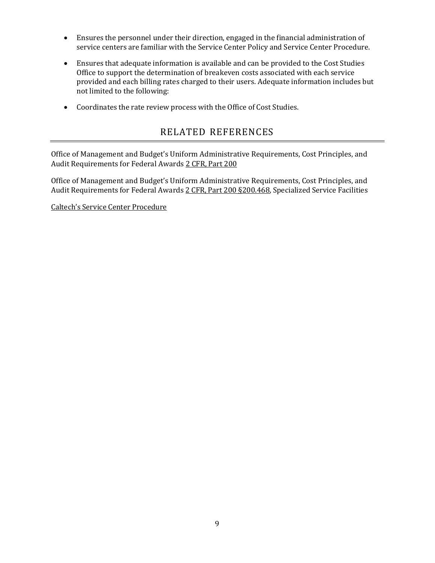- Ensures the personnel under their direction, engaged in the financial administration of service centers are familiar with the Service Center Policy and Service Center Procedure.
- Ensures that adequate information is available and can be provided to the Cost Studies Office to support the determination of breakeven costs associated with each service provided and each billing rates charged to their users. Adequate information includes but not limited to the following:
- Coordinates the rate review process with the Office of Cost Studies.

### RELATED REFERENCES

Office of Management and Budget's Uniform Administrative Requirements, Cost Principles, and Audit Requirements for Federal Awards 2 CFR, Part 200

Office of Management and Budget's Uniform Administrative Requirements, Cost Principles, and Audit Requirements for Federal Awards 2 CFR, Part 200 §200.468, Specialized Service Facilities

Caltech's Service Center Procedure